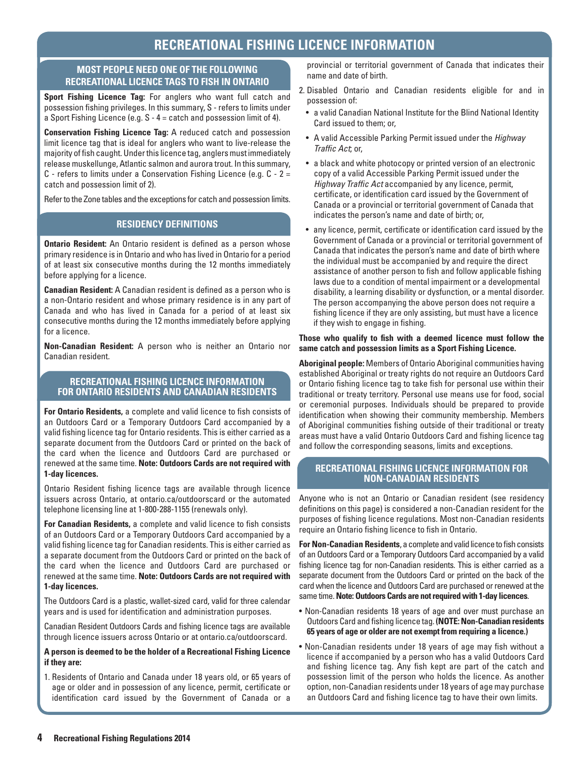# **RECREATIONAL FISHING LICENCE INFORMATION**

### **MOST PEOPLE NEED ONE OF THE FOLLOWING RECREATIONAL LICENCE TAGS TO FISH IN ONTARIO**

**Sport Fishing Licence Tag:** For anglers who want full catch and possession fishing privileges. In this summary, S - refers to limits under a Sport Fishing Licence (e.g. S - 4 = catch and possession limit of 4).

**Conservation Fishing Licence Tag:** A reduced catch and possession limit licence tag that is ideal for anglers who want to live-release the majority of fish caught. Under this licence tag, anglers must immediately release muskellunge, Atlantic salmon and aurora trout. In this summary, C - refers to limits under a Conservation Fishing Licence (e.g.  $C - 2 =$ catch and possession limit of 2).

Refer to the Zone tables and the exceptions for catch and possession limits.

### **RESIDENCY DEFINITIONS**

**Ontario Resident:** An Ontario resident is defined as a person whose primary residence is in Ontario and who has lived in Ontario for a period of at least six consecutive months during the 12 months immediately before applying for a licence.

**Canadian Resident:** A Canadian resident is defined as a person who is a non-Ontario resident and whose primary residence is in any part of Canada and who has lived in Canada for a period of at least six consecutive months during the 12 months immediately before applying for a licence.

**Non-Canadian Resident:** A person who is neither an Ontario nor Canadian resident.

### **RECREATIONAL FISHING LICENCE INFORMATION FOR ONTARIO RESIDENTS AND CANADIAN RESIDENTS**

**For Ontario Residents,** a complete and valid licence to fish consists of an Outdoors Card or a Temporary Outdoors Card accompanied by a valid fishing licence tag for Ontario residents. This is either carried as a separate document from the Outdoors Card or printed on the back of the card when the licence and Outdoors Card are purchased or renewed at the same time. **Note: Outdoors Cards are not required with 1-day licences.** 

Ontario Resident fishing licence tags are available through licence issuers across Ontario, at [ontario.ca/outdoorscard](http://www.ontario.ca/outdoorscard) or the automated telephone licensing line at 1-800-288-1155 (renewals only).

**For Canadian Residents,** a complete and valid licence to fish consists of an Outdoors Card or a Temporary Outdoors Card accompanied by a valid fishing licence tag for Canadian residents. This is either carried as a separate document from the Outdoors Card or printed on the back of the card when the licence and Outdoors Card are purchased or renewed at the same time. **Note: Outdoors Cards are not required with 1-day licences.** 

The Outdoors Card is a plastic, wallet-sized card, valid for three calendar years and is used for identification and administration purposes.

Canadian Resident Outdoors Cards and fishing licence tags are available through licence issuers across Ontario or at ontario.ca/outdoorscard.

#### **A person is deemed to be the holder of a Recreational Fishing Licence if they are:**

1. Residents of Ontario and Canada under 18 years old, or 65 years of age or older and in possession of any licence, permit, certificate or identification card issued by the Government of Canada or a

provincial or territorial government of Canada that indicates their name and date of birth.

- 2. Disabled Ontario and Canadian residents eligible for and in possession of:
- a valid Canadian National Institute for the Blind National Identity Card issued to them; or,
- • A valid Accessible Parking Permit issued under the *Highway Traffic Act*; or,
- a black and white photocopy or printed version of an electronic copy of a valid Accessible Parking Permit issued under the *Highway Traffic Act* accompanied by any licence, permit, certificate, or identification card issued by the Government of Canada or a provincial or territorial government of Canada that indicates the person's name and date of birth; or,
- any licence, permit, certificate or identification card issued by the Government of Canada or a provincial or territorial government of Canada that indicates the person's name and date of birth where the individual must be accompanied by and require the direct assistance of another person to fish and follow applicable fishing laws due to a condition of mental impairment or a developmental disability, a learning disability or dysfunction, or a mental disorder. The person accompanying the above person does not require a fishing licence if they are only assisting, but must have a licence if they wish to engage in fishing.

#### **Those who qualify to fish with a deemed licence must follow the same catch and possession limits as a Sport Fishing Licence.**

**Aboriginal people:** Members of Ontario Aboriginal communities having established Aboriginal or treaty rights do not require an Outdoors Card or Ontario fishing licence tag to take fish for personal use within their traditional or treaty territory. Personal use means use for food, social or ceremonial purposes. Individuals should be prepared to provide identification when showing their community membership. Members of Aboriginal communities fishing outside of their traditional or treaty areas must have a valid Ontario Outdoors Card and fishing licence tag and follow the corresponding seasons, limits and exceptions.

### **RECREATIONAL FISHING LICENCE INFORMATION FOR NON-CANADIAN RESIDENTS**

Anyone who is not an Ontario or Canadian resident (see residency definitions on this page) is considered a non-Canadian resident for the purposes of fishing licence regulations. Most non-Canadian residents require an Ontario fishing licence to fish in Ontario.

**For Non-Canadian Residents**, a complete and valid licence to fish consists of an Outdoors Card or a Temporary Outdoors Card accompanied by a valid fishing licence tag for non-Canadian residents. This is either carried as a separate document from the Outdoors Card or printed on the back of the card when the licence and Outdoors Card are purchased or renewed at the same time. **Note: Outdoors Cards are not required with 1-day licences**.

- Non-Canadian residents 18 years of age and over must purchase an Outdoors Card and fishing licence tag. **(NOTE: Non-Canadian residents 65 years of age or older are not exempt from requiring a licence.)**
- • Non-Canadian residents under 18 years of age may fish without a licence if accompanied by a person who has a valid Outdoors Card and fishing licence tag. Any fish kept are part of the catch and possession limit of the person who holds the licence. As another option, non-Canadian residents under 18 years of age may purchase an Outdoors Card and fishing licence tag to have their own limits.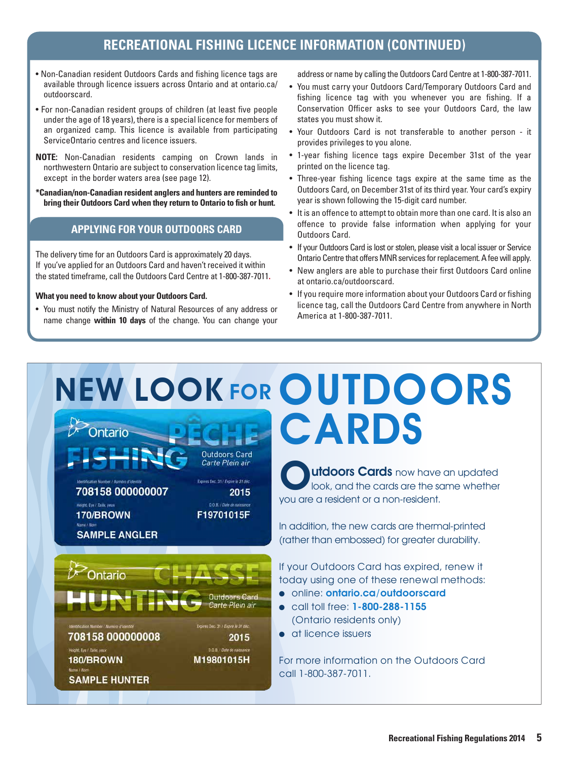# **RECREATIONAL FISHING LICENCE INFORMATION (CONTINUED)**

- Non-Canadian resident Outdoors Cards and fishing licence tags are [available through licence issuers across Ontario and at ontario.ca/](http://www.ontario.ca/outdoorscard) outdoorscard.
- For non-Canadian resident groups of children (at least five people under the age of 18 years), there is a special licence for members of an organized camp. This licence is available from participating ServiceOntario centres and licence issuers.
- **NOTE:** Non-Canadian residents camping on Crown lands in northwestern Ontario are subject to conservation licence tag limits, except in the border waters area (see page 12).
- **\*Canadian/non-Canadian resident anglers and hunters are reminded to bring their Outdoors Card when they return to Ontario to fish or hunt.**

# **APPLYING FOR YOUR OUTDOORS CARD**

The delivery time for an Outdoors Card is approximately 20 days. If you've applied for an Outdoors Card and haven't received it within the stated timeframe, call the Outdoors Card Centre at 1-800-387-7011**.** 

#### **What you need to know about your Outdoors Card.**

708158 000000007

**SAMPLE ANGLER** 

Height, Eye / Taille, year

170/BROWN

Ontario

708158 000000008

**SAMPLE HUNTER** 

Height, Eye / Taille, year

180/BROWN

• You must notify the Ministry of Natural Resources of any address or name change **within 10 days** of the change. You can change your

address or name by calling the Outdoors Card Centre at 1-800-387-7011.

- You must carry your Outdoors Card/Temporary Outdoors Card and fishing licence tag with you whenever you are fishing. If a Conservation Officer asks to see your Outdoors Card, the law states you must show it.
- Your Outdoors Card is not transferable to another person it provides privileges to you alone.
- 1-year fishing licence tags expire December 31st of the year printed on the licence tag.
- Three-year fishing licence tags expire at the same time as the Outdoors Card, on December 31st of its third year. Your card's expiry year is shown following the 15-digit card number.
- It is an offence to attempt to obtain more than one card. It is also an offence to provide false information when applying for your Outdoors Card.
- If your Outdoors Card is lost or stolen, please visit a local issuer or Service Ontario Centre that offers MNR services for replacement. A fee will apply.
- New anglers are able to purchase their first Outdoors Card online at [ontario.ca/outdoorscard](http://www.ontario.ca/outdoorscard).
- If you require more information about your Outdoors Card or fishing licence tag, call the Outdoors Card Centre from anywhere in North America at 1-800-387-7011.

# NEW LOOK FOR OUTDOORS **CARDS** Ontario

**Outdoors Card** Carte Plein air Expires Bec. 31 / Expire le 31 déc.

D.O.B. / Date de naissance

**Outdoors Card** Carte Plein air

2015

:<br>Opires Dac, 31 / Expire le 31 déc.

D.O.B. / Date de nais M19801015H

F19701015F

2015

**utdoors Cards** now have an updated look, and the cards are the same whether you are a resident or a non-resident.

In addition, the new cards are thermal-printed (rather than embossed) for greater durability.

If your Outdoors Card has expired, renew it today using one of these renewal methods:

- **.** online: [ontario.ca/outdoorscard](http://www.ontario.ca/outdoorscard)
- **•** call toll free: 1-800-288-1155 (Ontario residents only)
- **a** at licence issuers

For more information on the Outdoors Card call 1-800-387-7011.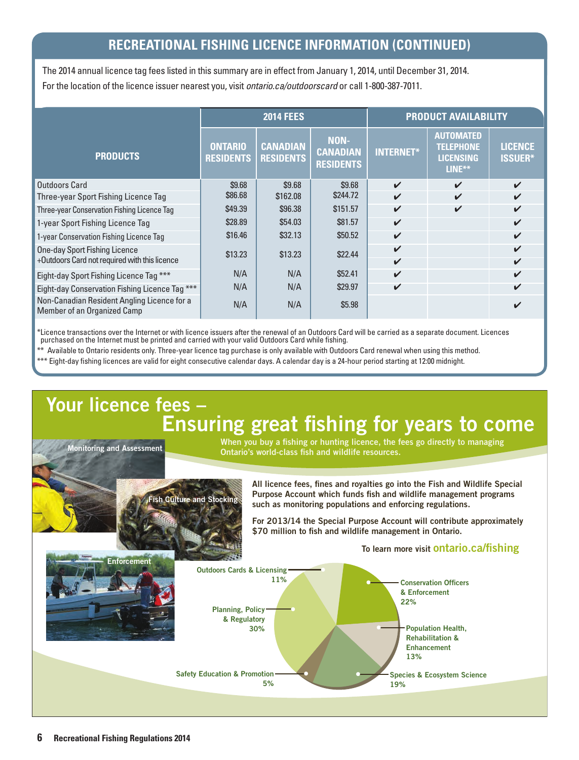# **RECREATIONAL FISHING LICENCE INFORMATION (CONTINUED) RECREATIONAL FISHING LICENCE INFORMATION (CONTINUED)**

The 2014 annual licence tag fees listed in this summary are in effect from January 1, 2014, until December 31, 2014. For the location of the licence issuer nearest you, visit *ontario.ca/outdoorscard* or call 1-800-387-7011.

|                                                                                   | <b>2014 FEES</b>                   |                                     |                                                    | <b>PRODUCT AVAILABILITY</b> |                                                                    |                                  |
|-----------------------------------------------------------------------------------|------------------------------------|-------------------------------------|----------------------------------------------------|-----------------------------|--------------------------------------------------------------------|----------------------------------|
| <b>PRODUCTS</b>                                                                   | <b>ONTARIO</b><br><b>RESIDENTS</b> | <b>CANADIAN</b><br><b>RESIDENTS</b> | <b>NON-</b><br><b>CANADIAN</b><br><b>RESIDENTS</b> | <b>INTERNET*</b>            | <b>AUTOMATED</b><br><b>TELEPHONE</b><br><b>LICENSING</b><br>LINE** | <b>LICENCE</b><br><b>ISSUER*</b> |
| Outdoors Card                                                                     | \$9.68                             | \$9.68                              | \$9.68                                             | $\boldsymbol{\nu}$          | $\boldsymbol{\mathcal{U}}$                                         | $\mathbf{v}$                     |
| Three-year Sport Fishing Licence Tag                                              | \$86.68                            | \$162.08                            | \$244.72                                           | ✓                           | $\boldsymbol{\mathcal{U}}$                                         | $\boldsymbol{\mathcal{U}}$       |
| Three-year Conservation Fishing Licence Tag                                       | \$49.39                            | \$96.38                             | \$151.57                                           | $\boldsymbol{\mathcal{U}}$  | $\checkmark$                                                       | $\boldsymbol{\mathcal{U}}$       |
| 1-year Sport Fishing Licence Tag                                                  | \$28.89                            | \$54.03                             | \$81.57                                            | ✓                           |                                                                    | $\boldsymbol{\mathcal{U}}$       |
| 1-year Conservation Fishing Licence Tag                                           | \$16.46                            | \$32.13                             | \$50.52                                            | V                           |                                                                    | ✓                                |
| One-day Sport Fishing Licence                                                     | \$13.23                            | \$13.23                             | \$22.44                                            | $\boldsymbol{\mathcal{U}}$  |                                                                    | $\boldsymbol{\mathcal{U}}$       |
| +Outdoors Card not required with this licence                                     |                                    |                                     |                                                    | V                           |                                                                    | $\boldsymbol{\mathcal{U}}$       |
| Eight-day Sport Fishing Licence Tag ***                                           | N/A                                | N/A                                 | \$52.41                                            | ✓                           |                                                                    | $\boldsymbol{\mathcal{U}}$       |
| Eight-day Conservation Fishing Licence Tag ***                                    | N/A                                | N/A                                 | \$29.97                                            | ✔                           |                                                                    | $\boldsymbol{\nu}$               |
| Non-Canadian Resident Angling Licence for a<br><b>Member of an Organized Camp</b> | N/A                                | N/A                                 | \$5.98                                             |                             |                                                                    |                                  |

\*Licence transactions over the Internet or with licence issuers after the renewal of an Outdoors Card will be carried as a separate document. Licences purchased on the Internet must be printed and carried with your valid Outdoors Card while fishing.

\*\* Available to Ontario residents only. Three-year licence tag purchase is only available with Outdoors Card renewal when using this method.

\*\*\* Eight-day fishing licences are valid for eight consecutive calendar days. A calendar day is a 24-hour period starting at 12:00 midnight.

**Culture and** 

# Your licence fees – Ensuring great fishing for years to come When you buy a fishing or hunting licence, the fees go directly to managing Monitoring and Assessment

Ontario's world-class fish and wildlife resources.

All licence fees, fines and royalties go into the Fish and Wildlife Special Purpose Account which funds fish and wildlife management programs such as monitoring populations and enforcing regulations.

For 2013/14 the Special Purpose Account will contribute approximately \$70 million to fish and wildlife management in Ontario.

To learn more visit ontario.ca/fishing

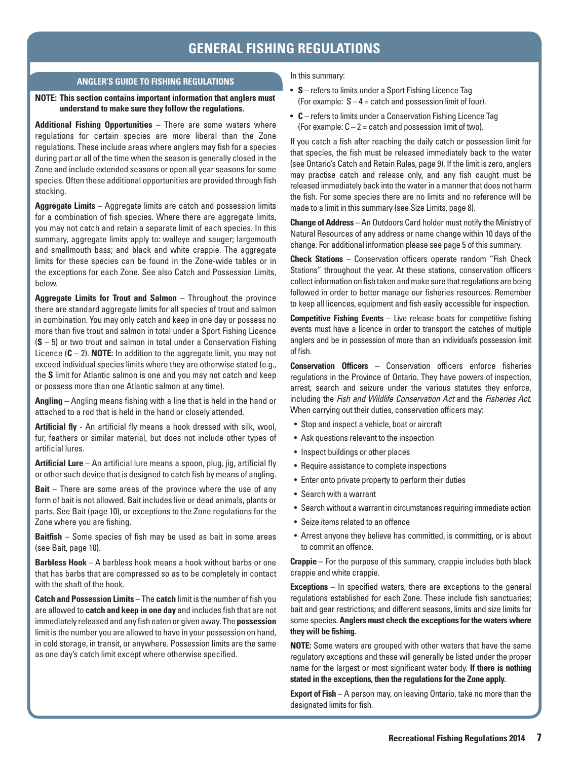# **GENERAL FISHING REGULATIONS**

#### **ANGLER'S GUIDE TO FISHING REGULATIONS**

#### **NOTE: This section contains important information that anglers must understand to make sure they follow the regulations.**

**Additional Fishing Opportunities** – There are some waters where regulations for certain species are more liberal than the Zone regulations. These include areas where anglers may fish for a species during part or all of the time when the season is generally closed in the Zone and include extended seasons or open all year seasons for some species. Often these additional opportunities are provided through fish stocking.

**Aggregate Limits** – Aggregate limits are catch and possession limits for a combination of fish species. Where there are aggregate limits, you may not catch and retain a separate limit of each species. In this summary, aggregate limits apply to: walleye and sauger; largemouth and smallmouth bass; and black and white crappie. The aggregate limits for these species can be found in the Zone-wide tables or in the exceptions for each Zone. See also Catch and Possession Limits, below.

**Aggregate Limits for Trout and Salmon** – Throughout the province there are standard aggregate limits for all species of trout and salmon in combination. You may only catch and keep in one day or possess no more than five trout and salmon in total under a Sport Fishing Licence (**S** – 5) or two trout and salmon in total under a Conservation Fishing Licence (**C** – 2). **NOTE:** In addition to the aggregate limit, you may not exceed individual species limits where they are otherwise stated (e.g., the **S** limit for Atlantic salmon is one and you may not catch and keep or possess more than one Atlantic salmon at any time).

**Angling** – Angling means fishing with a line that is held in the hand or attached to a rod that is held in the hand or closely attended.

**Artificial fly** - An artificial fly means a hook dressed with silk, wool, fur, feathers or similar material, but does not include other types of artificial lures.

**Artificial Lure** – An artificial lure means a spoon, plug, jig, artificial fly or other such device that is designed to catch fish by means of angling.

**Bait** – There are some areas of the province where the use of any form of bait is not allowed. Bait includes live or dead animals, plants or parts. See Bait (page 10), or exceptions to the Zone regulations for the Zone where you are fishing.

**Baitfish** – Some species of fish may be used as bait in some areas (see Bait, page 10).

**Barbless Hook** – A barbless hook means a hook without barbs or one that has barbs that are compressed so as to be completely in contact with the shaft of the hook

**Catch and Possession Limits** – The **catch** limit is the number of fish you are allowed to **catch and keep in one day** and includes fish that are not immediately released and any fish eaten or given away. The **possession** limit is the number you are allowed to have in your possession on hand, in cold storage, in transit, or anywhere. Possession limits are the same as one day's catch limit except where otherwise specified.

In this summary:

- **S** refers to limits under a Sport Fishing Licence Tag (For example:  $S - 4 =$  catch and possession limit of four).
- **C** refers to limits under a Conservation Fishing Licence Tag (For example:  $C - 2 =$  catch and possession limit of two).

If you catch a fish after reaching the daily catch or possession limit for that species, the fish must be released immediately back to the water (see Ontario's Catch and Retain Rules, page 9). If the limit is zero, anglers may practise catch and release only, and any fish caught must be released immediately back into the water in a manner that does not harm the fish. For some species there are no limits and no reference will be made to a limit in this summary (see Size Limits, page 8).

**Change of Address** – An Outdoors Card holder must notify the Ministry of Natural Resources of any address or name change within 10 days of the change. For additional information please see page 5 of this summary.

**Check Stations** – Conservation officers operate random "Fish Check Stations" throughout the year. At these stations, conservation officers collect information on fish taken and make sure that regulations are being followed in order to better manage our fisheries resources. Remember to keep all licences, equipment and fish easily accessible for inspection.

**Competitive Fishing Events** – Live release boats for competitive fishing events must have a licence in order to transport the catches of multiple anglers and be in possession of more than an individual's possession limit of fish.

**Conservation Officers** – Conservation officers enforce fisheries regulations in the Province of Ontario. They have powers of inspection, arrest, search and seizure under the various statutes they enforce, including the *Fish and Wildlife Conservation Act* and the *Fisheries Act*. When carrying out their duties, conservation officers may:

- Stop and inspect a vehicle, boat or aircraft
- Ask questions relevant to the inspection
- Inspect buildings or other places
- Require assistance to complete inspections
- Enter onto private property to perform their duties
- Search with a warrant
- Search without a warrant in circumstances requiring immediate action
- Seize items related to an offence
- Arrest anyone they believe has committed, is committing, or is about to commit an offence.

**Crappie –** For the purpose of this summary, crappie includes both black crappie and white crappie.

**Exceptions** – In specified waters, there are exceptions to the general regulations established for each Zone. These include fish sanctuaries; bait and gear restrictions; and different seasons, limits and size limits for some species. **Anglers must check the exceptions for the waters where they will be fishing.**

**NOTE:** Some waters are grouped with other waters that have the same regulatory exceptions and these will generally be listed under the proper name for the largest or most significant water body. **If there is nothing stated in the exceptions, then the regulations for the Zone apply.** 

**Export of Fish** – A person may, on leaving Ontario, take no more than the designated limits for fish.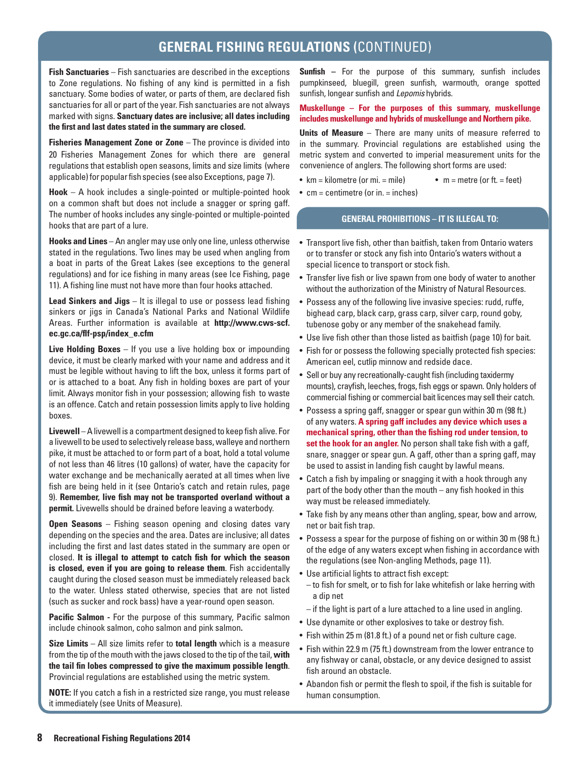**Fish Sanctuaries** – Fish sanctuaries are described in the exceptions to Zone regulations. No fishing of any kind is permitted in a fish sanctuary. Some bodies of water, or parts of them, are declared fish sanctuaries for all or part of the year. Fish sanctuaries are not always marked with signs. **Sanctuary dates are inclusive; all dates including the first and last dates stated in the summary are closed.** 

**Fisheries Management Zone or Zone** – The province is divided into 20 Fisheries Management Zones for which there are general regulations that establish open seasons, limits and size limits (where applicable) for popular fish species (see also Exceptions, page 7).

**Hook** – A hook includes a single-pointed or multiple-pointed hook on a common shaft but does not include a snagger or spring gaff. The number of hooks includes any single-pointed or multiple-pointed hooks that are part of a lure.

**Hooks and Lines** – An angler may use only one line, unless otherwise stated in the regulations. Two lines may be used when angling from a boat in parts of the Great Lakes (see exceptions to the general regulations) and for ice fishing in many areas (see Ice Fishing, page 11). A fishing line must not have more than four hooks attached.

**Lead Sinkers and Jigs** – It is illegal to use or possess lead fishing sinkers or jigs in Canada's National Parks and National Wildlife Areas. Further information is available at **http://www.cws-scf. ec.gc.ca/flf-psp/index\_e.cfm** 

**Live Holding Boxes** – If you use a live holding box or impounding device, it must be clearly marked with your name and address and it must be legible without having to lift the box, unless it forms part of or is attached to a boat. Any fish in holding boxes are part of your limit. Always monitor fish in your possession; allowing fish to waste is an offence. Catch and retain possession limits apply to live holding boxes.

**Livewell** – A livewell is a compartment designed to keep fish alive. For a livewell to be used to selectively release bass, walleye and northern pike, it must be attached to or form part of a boat, hold a total volume of not less than 46 litres (10 gallons) of water, have the capacity for water exchange and be mechanically aerated at all times when live fish are being held in it (see Ontario's catch and retain rules, page 9). **Remember, live fish may not be transported overland without a permit.** Livewells should be drained before leaving a waterbody.

**Open Seasons** – Fishing season opening and closing dates vary depending on the species and the area. Dates are inclusive; all dates including the first and last dates stated in the summary are open or closed. **It is illegal to attempt to catch fish for which the season is closed, even if you are going to release them**. Fish accidentally caught during the closed season must be immediately released back to the water. Unless stated otherwise, species that are not listed (such as sucker and rock bass) have a year-round open season.

**Pacific Salmon -** For the purpose of this summary, Pacific salmon include chinook salmon, coho salmon and pink salmon**.** 

**Size Limits** – All size limits refer to **total length** which is a measure from the tip of the mouth with the jaws closed to the tip of the tail, **with the tail fin lobes compressed to give the maximum possible length**. Provincial regulations are established using the metric system.

**NOTE:** If you catch a fish in a restricted size range, you must release it immediately (see Units of Measure).

**Sunfish** – For the purpose of this summary, sunfish includes pumpkinseed, bluegill, green sunfish, warmouth, orange spotted sunfish, longear sunfish and *Lepomis* hybrids.

#### **Muskellunge – For the purposes of this summary, muskellunge includes muskellunge and hybrids of muskellunge and Northern pike.**

**Units of Measure** – There are many units of measure referred to in the summary. Provincial regulations are established using the metric system and converted to imperial measurement units for the convenience of anglers. The following short forms are used:

- $km = kilometer (or mi. = mile)$   $m = metre (or ft. = feet)$
- $\bullet$  cm = centimetre (or in. = inches)

### **GENERAL PROHIBITIONS – IT IS ILLEGAL TO:**

- Transport live fish, other than baitfish, taken from Ontario waters or to transfer or stock any fish into Ontario's waters without a special licence to transport or stock fish.
- Transfer live fish or live spawn from one body of water to another without the authorization of the Ministry of Natural Resources.
- Possess any of the following live invasive species: rudd, ruffe, bighead carp, black carp, grass carp, silver carp, round goby, tubenose goby or any member of the snakehead family.
- Use live fish other than those listed as baitfish (page 10) for bait.
- Fish for or possess the following specially protected fish species: American eel, cutlip minnow and redside dace.
- Sell or buy any recreationally-caught fish (including taxidermy mounts), crayfish, leeches, frogs, fish eggs or spawn. Only holders of commercial fishing or commercial bait licences may sell their catch.
- Possess a spring gaff, snagger or spear gun within 30 m (98 ft.) of any waters. **A spring gaff includes any device which uses a mechanical spring, other than the fishing rod under tension, to set the hook for an angler.** No person shall take fish with a gaff, snare, snagger or spear gun. A gaff, other than a spring gaff, may be used to assist in landing fish caught by lawful means.
- Catch a fish by impaling or snagging it with a hook through any part of the body other than the mouth – any fish hooked in this way must be released immediately.
- Take fish by any means other than angling, spear, bow and arrow, net or bait fish trap.
- Possess a spear for the purpose of fishing on or within 30 m (98 ft.) of the edge of any waters except when fishing in accordance with the regulations (see Non-angling Methods, page 11).
- Use artificial lights to attract fish except:
	- to fish for smelt, or to fish for lake whitefish or lake herring with a dip net
	- if the light is part of a lure attached to a line used in angling.
- Use dynamite or other explosives to take or destroy fish.
- Fish within 25 m (81.8 ft.) of a pound net or fish culture cage.
- Fish within 22.9 m (75 ft.) downstream from the lower entrance to any fishway or canal, obstacle, or any device designed to assist fish around an obstacle.
- Abandon fish or permit the flesh to spoil, if the fish is suitable for human consumption.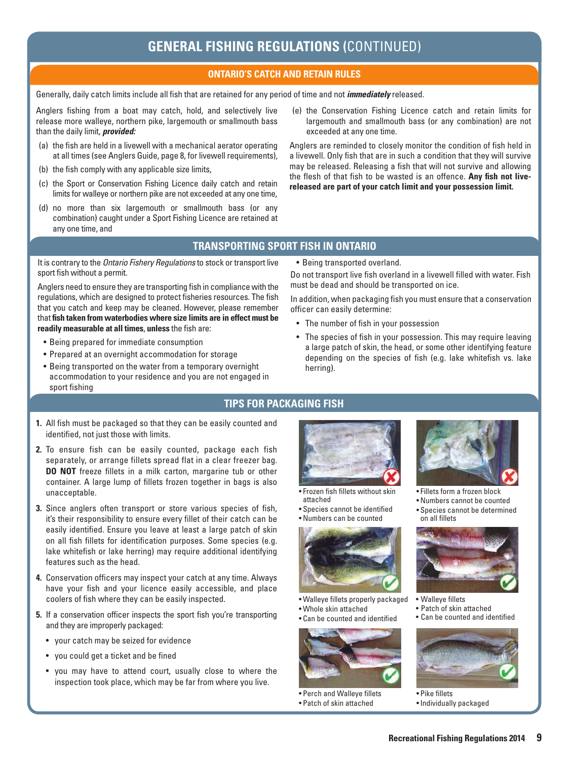# **ONTARIO'S CATCH AND RETAIN RULES**

Generally, daily catch limits include all fish that are retained for any period of time and not *immediately* released.

Anglers fishing from a boat may catch, hold, and selectively live release more walleye, northern pike, largemouth or smallmouth bass than the daily limit, *provided:* 

- (a) the fish are held in a livewell with a mechanical aerator operating at all times (see Anglers Guide, page 8, for livewell requirements),
- (b) the fish comply with any applicable size limits,
- (c) the Sport or Conservation Fishing Licence daily catch and retain limits for walleye or northern pike are not exceeded at any one time,
- (d) no more than six largemouth or smallmouth bass (or any combination) caught under a Sport Fishing Licence are retained at any one time, and
- (e) the Conservation Fishing Licence catch and retain limits for largemouth and smallmouth bass (or any combination) are not exceeded at any one time.

Anglers are reminded to closely monitor the condition of fish held in a livewell. Only fish that are in such a condition that they will survive may be released. Releasing a fish that will not survive and allowing the flesh of that fish to be wasted is an offence. **Any fish not livereleased are part of your catch limit and your possession limit.** 

### **TRANSPORTING SPORT FISH IN ONTARIO**

It is contrary to the *Ontario Fishery Regulations* to stock or transport live sport fish without a permit.

Anglers need to ensure they are transporting fish in compliance with the regulations, which are designed to protect fisheries resources. The fish that you catch and keep may be cleaned. However, please remember that **fish taken from waterbodies where size limits are in effect must be readily measurable at all times**, **unless** the fish are:

- Being prepared for immediate consumption
- Prepared at an overnight accommodation for storage
- Being transported on the water from a temporary overnight accommodation to your residence and you are not engaged in sport fishing

• Being transported overland.

Do not transport live fish overland in a livewell filled with water. Fish must be dead and should be transported on ice.

In addition, when packaging fish you must ensure that a conservation officer can easily determine:

- The number of fish in your possession
- The species of fish in your possession. This may require leaving a large patch of skin, the head, or some other identifying feature depending on the species of fish (e.g. lake whitefish vs. lake herring).

#### **TIPS FOR PACKAGING FISH**

- **1.** All fish must be packaged so that they can be easily counted and identified, not just those with limits.
- **2.** To ensure fish can be easily counted, package each fish separately, or arrange fillets spread flat in a clear freezer bag. **DO NOT** freeze fillets in a milk carton, margarine tub or other container. A large lump of fillets frozen together in bags is also unacceptable.
- **3.** Since anglers often transport or store various species of fish, it's their responsibility to ensure every fillet of their catch can be easily identified. Ensure you leave at least a large patch of skin on all fish fillets for identification purposes. Some species (e.g. lake whitefish or lake herring) may require additional identifying features such as the head.
- **4.** Conservation officers may inspect your catch at any time. Always have your fish and your licence easily accessible, and place coolers of fish where they can be easily inspected.
- **5.** If a conservation officer inspects the sport fish you're transporting and they are improperly packaged:
	- your catch may be seized for evidence
	- you could get a ticket and be fined
	- you may have to attend court, usually close to where the inspection took place, which may be far from where you live.



- • Frozen fish fillets without skin attached
- Species cannot be identified
- • Numbers can be counted



- Walleye fillets properly packaged
- • Whole skin attached
- Can be counted and identified



• Perch and Walleye fillets • Patch of skin attached 



- • Fillets form a frozen block
- Numbers cannot be counted
- Species cannot be determined on all fillets



- Walleye fillets
- • Patch of skin attached
- Can be counted and identified



• Pike fillets • Individually packaged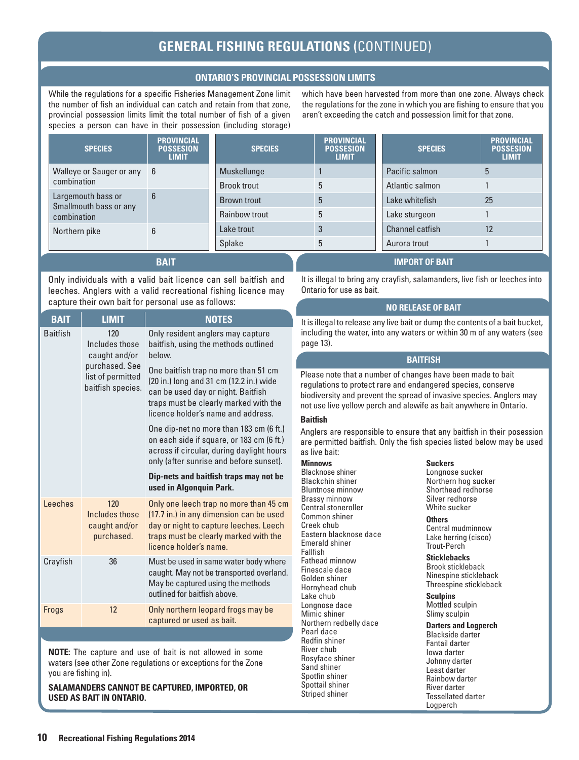### **ONTARIO'S PROVINCIAL POSSESSION LIMITS**

While the regulations for a specific Fisheries Management Zone limit the number of fish an individual can catch and retain from that zone, provincial possession limits limit the total number of fish of a given species a person can have in their possession (including storage)

which have been harvested from more than one zone. Always check the regulations for the zone in which you are fishing to ensure that you aren't exceeding the catch and possession limit for that zone.

| <b>SPECIES</b>                                              | <b>PROVINCIAL</b><br><b>POSSESION</b><br><b>LIMIT</b> | <b>SPECIES</b>     | <b>PROVINCIAL</b><br><b>POSSESION</b><br><b>LIMIT</b> | <b>SPECIES</b>         | <b>PROVINCIAL</b><br><b>POSSESION</b><br><b>LIMIT</b> |
|-------------------------------------------------------------|-------------------------------------------------------|--------------------|-------------------------------------------------------|------------------------|-------------------------------------------------------|
| Walleye or Sauger or any 6<br>combination                   |                                                       | Muskellunge        |                                                       | Pacific salmon         | 5                                                     |
|                                                             |                                                       | <b>Brook trout</b> |                                                       | Atlantic salmon        |                                                       |
| Largemouth bass or<br>Smallmouth bass or any<br>combination | 6                                                     | <b>Brown trout</b> | 5                                                     | Lake whitefish         | 25                                                    |
|                                                             |                                                       | Rainbow trout      | 5                                                     | Lake sturgeon          |                                                       |
| 6<br>Northern pike                                          |                                                       | Lake trout         | 3                                                     | <b>Channel catfish</b> | 12                                                    |
|                                                             |                                                       | <b>Splake</b>      |                                                       | Aurora trout           |                                                       |
|                                                             | <b>BAIT</b>                                           |                    |                                                       | <b>IMPORT OF BAIT</b>  |                                                       |

#### **BAIT**

Only individuals with a valid bait licence can sell baitfish and leeches. Anglers with a valid recreational fishing licence may capture their own bait for personal use as follows:

| <b>BAIT</b>     | <b>LIMIT</b>                                                                                       | <b>NOTES</b>                                                                                                                                                                                                                                                                                                                                                                                                                                                                                                                                     |
|-----------------|----------------------------------------------------------------------------------------------------|--------------------------------------------------------------------------------------------------------------------------------------------------------------------------------------------------------------------------------------------------------------------------------------------------------------------------------------------------------------------------------------------------------------------------------------------------------------------------------------------------------------------------------------------------|
| <b>Baitfish</b> | 120<br>Includes those<br>caught and/or<br>purchased. See<br>list of permitted<br>baitfish species. | Only resident anglers may capture<br>baitfish, using the methods outlined<br>helow.<br>One baitfish trap no more than 51 cm<br>(20 in.) long and 31 cm (12.2 in.) wide<br>can be used day or night. Baitfish<br>traps must be clearly marked with the<br>licence holder's name and address.<br>One dip-net no more than 183 cm (6 ft.)<br>on each side if square, or 183 cm (6 ft.)<br>across if circular, during daylight hours<br>only (after sunrise and before sunset).<br>Dip-nets and baitfish traps may not be<br>used in Algonquin Park. |
| Leeches         | 120<br>Includes those<br>caught and/or<br>purchased.                                               | Only one leech trap no more than 45 cm<br>(17.7 in.) in any dimension can be used<br>day or night to capture leeches. Leech<br>traps must be clearly marked with the<br>licence holder's name.                                                                                                                                                                                                                                                                                                                                                   |
| Crayfish        | 36                                                                                                 | Must be used in same water body where<br>caught. May not be transported overland.<br>May be captured using the methods<br>outlined for baitfish above.                                                                                                                                                                                                                                                                                                                                                                                           |
| Frogs           | 12                                                                                                 | Only northern leopard frogs may be<br>captured or used as bait.                                                                                                                                                                                                                                                                                                                                                                                                                                                                                  |

**NOTE:** The capture and use of bait is not allowed in some waters (see other Zone regulations or exceptions for the Zone you are fishing in).

**SALAMANDERS CANNOT BE CAPTURED, IMPORTED, OR USED AS BAIT IN ONTARIO.** 

It is illegal to bring any crayfish, salamanders, live fish or leeches into Ontario for use as bait.

#### **NO RELEASE OF BAIT**

It is illegal to release any live bait or dump the contents of a bait bucket, including the water, into any waters or within 30 m of any waters (see page 13).

#### **BAITFISH**

Please note that a number of changes have been made to bait regulations to protect rare and endangered species, conserve biodiversity and prevent the spread of invasive species. Anglers may not use live yellow perch and alewife as bait anywhere in Ontario.

#### **Baitfish**

Anglers are responsible to ensure that any baitfish in their posession are permitted baitfish. Only the fish species listed below may be used as live bait:

#### **Minnows**

Blacknose shiner Blackchin shiner Bluntnose minnow Brassy minnow Central stoneroller Common shiner Creek chub Eastern blacknose dace Emerald shiner Fallfish Fathead minnow Finescale dace Golden shiner Hornyhead chub Lake chub Longnose dace Mimic shiner Northern redbelly dace Pearl dace Redfin shiner River chub Rosyface shiner Sand shiner Spotfin shiner Spottail shiner Striped shiner

#### **Suckers**

Longnose sucker Northern hog sucker Shorthead redhorse Silver redhorse White sucker

#### **Others**

Central mudminnow Lake herring (cisco) Trout-Perch

**Sticklebacks**

Brook stickleback Ninespine stickleback Threespine stickleback

**Sculpins**

Mottled sculpin Slimy sculpin

**Darters and Logperch**

Blackside darter Fantail darter Iowa darter Johnny darter Least darter Rainbow darter River darter Tessellated darter Logperch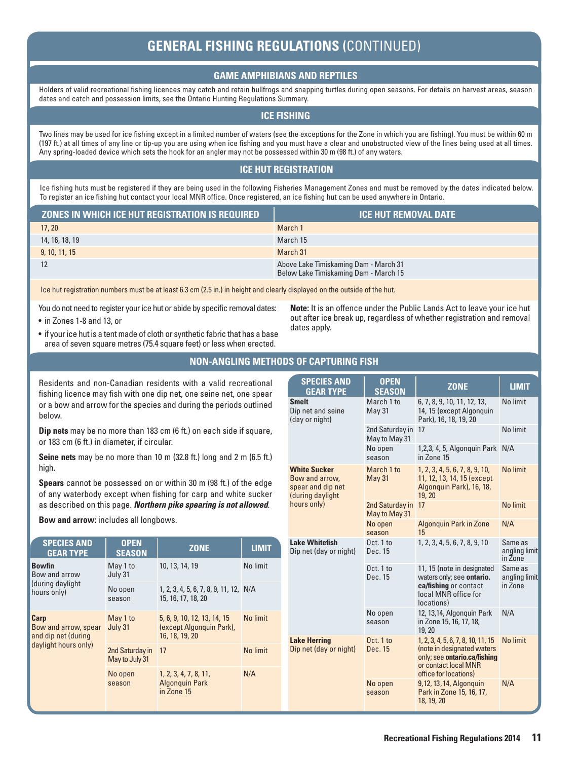# **GAME AMPHIBIANS AND REPTILES**

Holders of valid recreational fishing licences may catch and retain bullfrogs and snapping turtles during open seasons. For details on harvest areas, season dates and catch and possession limits, see the Ontario Hunting Regulations Summary.

### **ICE FISHING**

Two lines may be used for ice fishing except in a limited number of waters (see the exceptions for the Zone in which you are fishing). You must be within 60 m (197 ft.) at all times of any line or tip-up you are using when ice fishing and you must have a clear and unobstructed view of the lines being used at all times. Any spring-loaded device which sets the hook for an angler may not be possessed within 30 m (98 ft.) of any waters.

# **ICE HUT REGISTRATION**

Ice fishing huts must be registered if they are being used in the following Fisheries Management Zones and must be removed by the dates indicated below. To register an ice fishing hut contact your local MNR office. Once registered, an ice fishing hut can be used anywhere in Ontario.

| ZONES IN WHICH ICE HUT REGISTRATION IS REQUIRED | I ICE HUT REMOVAL DATE '                                                       |
|-------------------------------------------------|--------------------------------------------------------------------------------|
| 17, 20                                          | March 1                                                                        |
| 14, 16, 18, 19                                  | March 15                                                                       |
| 9, 10, 11, 15                                   | March 31                                                                       |
| 12                                              | Above Lake Timiskaming Dam - March 31<br>Below Lake Timiskaming Dam - March 15 |

Ice hut registration numbers must be at least 6.3 cm (2.5 in.) in height and clearly displayed on the outside of the hut.

You do not need to register your ice hut or abide by specific removal dates:

- in Zones 1-8 and 13, or
- if your ice hut is a tent made of cloth or synthetic fabric that has a base area of seven square metres (75.4 square feet) or less when erected.

### **NON-ANGLING METHODS OF CAPTURING FISH**

dates apply.

Residents and non-Canadian residents with a valid recreational fishing licence may fish with one dip net, one seine net, one spear or a bow and arrow for the species and during the periods outlined below.

**Dip nets** may be no more than 183 cm (6 ft.) on each side if square, or 183 cm (6 ft.) in diameter, if circular.

**Seine nets** may be no more than 10 m (32.8 ft.) long and 2 m (6.5 ft.) high.

**Spears** cannot be possessed on or within 30 m (98 ft.) of the edge of any waterbody except when fishing for carp and white sucker as described on this page. *Northern pike spearing is not allowed*.

**Bow and arrow:** includes all longbows.

| <b>SPECIES AND</b><br><b>GEAR TYPE</b>                                      | <b>OPEN</b><br><b>SEASON</b>      | <b>ZONE</b>                                                               | <b>LIMIT</b> |
|-----------------------------------------------------------------------------|-----------------------------------|---------------------------------------------------------------------------|--------------|
| <b>Bowfin</b><br>Bow and arrow<br>(during daylight)<br>hours only)          | May 1 to<br>July 31               | 10, 13, 14, 19                                                            | No limit     |
|                                                                             | No open<br>season                 | 1, 2, 3, 4, 5, 6, 7, 8, 9, 11, 12, N/A<br>15, 16, 17, 18, 20              |              |
| Carp<br>Bow and arrow, spear<br>and dip net (during<br>daylight hours only) | May 1 to<br>July 31               | 5, 6, 9, 10, 12, 13, 14, 15<br>(except Algonguin Park),<br>16, 18, 19, 20 | No limit     |
|                                                                             | 2nd Saturday in<br>May to July 31 | 17                                                                        | No limit     |
|                                                                             | No open<br>season                 | 1, 2, 3, 4, 7, 8, 11,<br><b>Algonguin Park</b><br>in Zone 15              | N/A          |

| <b>SPECIES AND</b><br><b>GEAR TYPE</b>                                                        | <b>OPEN</b><br><b>SEASON</b>     | <b>ZONE</b>                                                                                                                                       | <b>LIMIT</b>                        |
|-----------------------------------------------------------------------------------------------|----------------------------------|---------------------------------------------------------------------------------------------------------------------------------------------------|-------------------------------------|
| <b>Smelt</b><br>Dip net and seine<br>(day or night)                                           | March 1 to<br><b>May 31</b>      | 6, 7, 8, 9, 10, 11, 12, 13,<br>14, 15 (except Algonquin<br>Park), 16, 18, 19, 20                                                                  | No limit                            |
|                                                                                               | 2nd Saturday in<br>May to May 31 | 17                                                                                                                                                | No limit                            |
|                                                                                               | No open<br>season                | 1,2,3, 4, 5, Algonquin Park<br>in 7 <sub>one</sub> 15                                                                                             | N/A                                 |
| <b>White Sucker</b><br>Bow and arrow,<br>spear and dip net<br>(during daylight<br>hours only) | March 1 to<br>May 31             | 1, 2, 3, 4, 5, 6, 7, 8, 9, 10,<br>11, 12, 13, 14, 15 (except<br>Algonquin Park), 16, 18,<br>19, 20                                                | No limit                            |
|                                                                                               | 2nd Saturday in<br>May to May 31 | 17                                                                                                                                                | No limit                            |
|                                                                                               | No open<br>season                | <b>Algonquin Park in Zone</b><br>15                                                                                                               | N/A                                 |
| <b>Lake Whitefish</b><br>Dip net (day or night)                                               | $0ct.1$ to<br>Dec. 15            | 1, 2, 3, 4, 5, 6, 7, 8, 9, 10                                                                                                                     | Same as<br>angling limit<br>in Zone |
|                                                                                               | $0ct.1$ to<br>Dec. 15            | 11, 15 (note in designated<br>waters only; see ontario.<br>ca/fishing or contact<br>local MNR office for<br>locations)                            | Same as<br>angling limit<br>in Zone |
|                                                                                               | No open<br>season                | 12, 13,14, Algonquin Park<br>in Zone 15, 16, 17, 18,<br>19, 20                                                                                    | N/A                                 |
| <b>Lake Herring</b><br>Dip net (day or night)                                                 | $0ct.1$ to<br>Dec. 15            | 1, 2, 3, 4, 5, 6, 7, 8, 10, 11, 15<br>(note in designated waters<br>only; see ontario.ca/fishing<br>or contact local MNR<br>office for locations) | No limit                            |
|                                                                                               | No open<br>season                | 9, 12, 13, 14, Algonquin<br>Park in Zone 15, 16, 17,<br>18, 19, 20                                                                                | N/A                                 |

**Note:** It is an offence under the Public Lands Act to leave your ice hut out after ice break up, regardless of whether registration and removal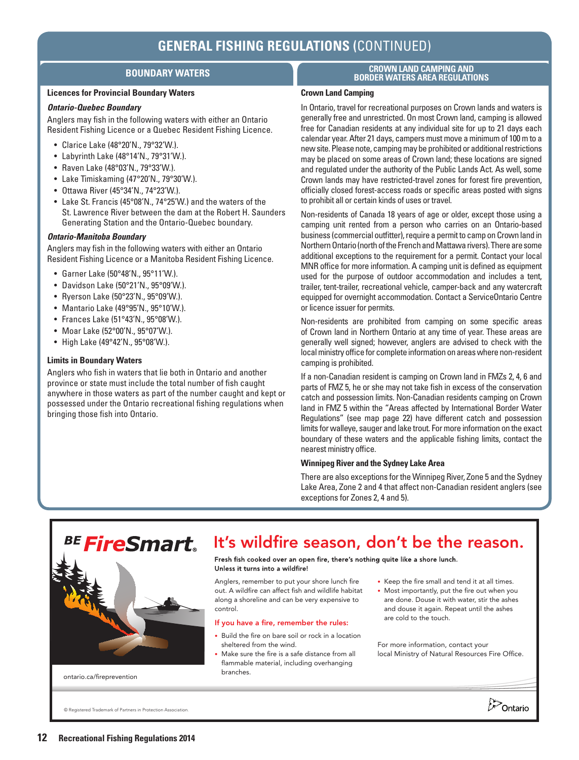# **BOUNDARY WATERS**

#### **Licences for Provincial Boundary Waters**

#### *Ontario-Quebec Boundary*

Anglers may fish in the following waters with either an Ontario Resident Fishing Licence or a Quebec Resident Fishing Licence.

- Clarice Lake (48°20'N., 79°32'W.).
- $\bullet$  Labyrinth Lake (48°14'N., 79°31'W.).
- Raven Lake (48°03'N., 79°33'W.).
- Lake Timiskaming (47°20'N., 79°30'W.).
- Ottawa River (45°34'N., 74°23'W.).
- Lake St. Francis (45°08'N., 74°25'W.) and the waters of the St. Lawrence River between the dam at the Robert H. Saunders Generating Station and the Ontario-Quebec boundary.

#### *Ontario-Manitoba Boundary*

Anglers may fish in the following waters with either an Ontario Resident Fishing Licence or a Manitoba Resident Fishing Licence.

- Garner Lake (50°48'N., 95°11'W.).
- Davidson Lake (50°21'N., 95°09'W.).
- Ryerson Lake (50°23'N., 95°09'W.).
- Mantario Lake  $(49°95'N., 95°10'W.).$
- Frances Lake (51°43'N., 95°08'W.).
- Moar Lake (52°00'N., 95°07'W.).
- High Lake (49°42'N., 95°08'W.).

#### **Limits in Boundary Waters**

Anglers who fish in waters that lie both in Ontario and another province or state must include the total number of fish caught anywhere in those waters as part of the number caught and kept or possessed under the Ontario recreational fishing regulations when bringing those fish into Ontario.

#### **CROWN LAND CAMPING AND BORDER WATERS AREA REGULATIONS**

#### **Crown Land Camping**

In Ontario, travel for recreational purposes on Crown lands and waters is generally free and unrestricted. On most Crown land, camping is allowed free for Canadian residents at any individual site for up to 21 days each calendar year. After 21 days, campers must move a minimum of 100 m to a new site. Please note, camping may be prohibited or additional restrictions may be placed on some areas of Crown land; these locations are signed and regulated under the authority of the Public Lands Act. As well, some Crown lands may have restricted-travel zones for forest fire prevention, officially closed forest-access roads or specific areas posted with signs to prohibit all or certain kinds of uses or travel.

Non-residents of Canada 18 years of age or older, except those using a camping unit rented from a person who carries on an Ontario-based business (commercial outfitter), require a permit to camp on Crown land in Northern Ontario (north of the French and Mattawa rivers). There are some additional exceptions to the requirement for a permit. Contact your local MNR office for more information. A camping unit is defined as equipment used for the purpose of outdoor accommodation and includes a tent, trailer, tent-trailer, recreational vehicle, camper-back and any watercraft equipped for overnight accommodation. Contact a ServiceOntario Centre or licence issuer for permits.

Non-residents are prohibited from camping on some specific areas of Crown land in Northern Ontario at any time of year. These areas are generally well signed; however, anglers are advised to check with the local ministry office for complete information on areas where non-resident camping is prohibited.

If a non-Canadian resident is camping on Crown land in FMZs 2, 4, 6 and parts of FMZ 5, he or she may not take fish in excess of the conservation catch and possession limits. Non-Canadian residents camping on Crown land in FMZ 5 within the "Areas affected by International Border Water Regulations" (see map page 22) have different catch and possession limits for walleye, sauger and lake trout. For more information on the exact boundary of these waters and the applicable fishing limits, contact the nearest ministry office.

#### **Winnipeg River and the Sydney Lake Area**

There are also exceptions for the Winnipeg River, Zone 5 and the Sydney Lake Area, Zone 2 and 4 that affect non-Canadian resident anglers (see exceptions for Zones 2, 4 and 5).



• Make sure the fire is a safe distance from all flammable material, including overhanging branches.

For more information, contact your local Ministry of Natural Resources Fire Office.

**D**Ontario

© Registered Trademark of Partners in Protection Association.

[ontario.ca/fireprevention](http://www.ontario.ca/fireprevention)